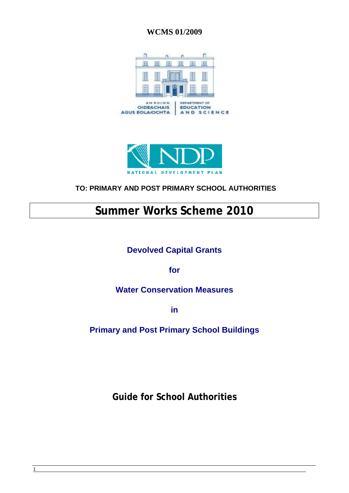### **WCMS 01/2009**





# **TO: PRIMARY AND POST PRIMARY SCHOOL AUTHORITIES**

# **Summer Works Scheme 2010**

# **Devolved Capital Grants**

**for** 

## **Water Conservation Measures**

**in** 

**Primary and Post Primary School Buildings** 

**Guide for School Authorities**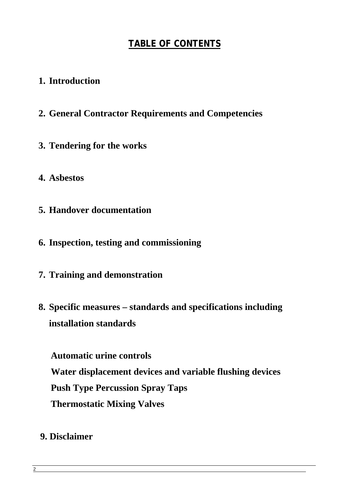# **TABLE OF CONTENTS**

# **1. Introduction**

- **2. General Contractor Requirements and Competencies**
- **3. Tendering for the works**
- **4. Asbestos**
- **5. Handover documentation**
- **6. Inspection, testing and commissioning**
- **7. Training and demonstration**
- **8. Specific measures standards and specifications including installation standards**

 **Automatic urine controls Water displacement devices and variable flushing devices Push Type Percussion Spray Taps Thermostatic Mixing Valves** 

# **9. Disclaimer**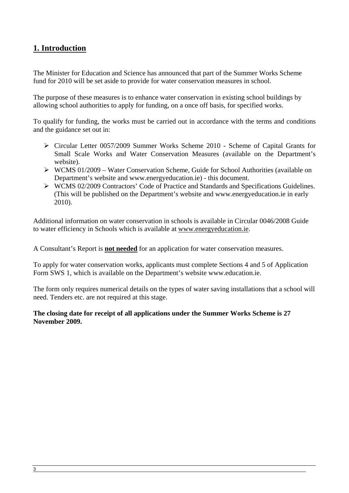## **1. Introduction**

The Minister for Education and Science has announced that part of the Summer Works Scheme fund for 2010 will be set aside to provide for water conservation measures in school.

The purpose of these measures is to enhance water conservation in existing school buildings by allowing school authorities to apply for funding, on a once off basis, for specified works.

To qualify for funding, the works must be carried out in accordance with the terms and conditions and the guidance set out in:

- ¾ Circular Letter 0057/2009 Summer Works Scheme 2010 Scheme of Capital Grants for Small Scale Works and Water Conservation Measures (available on the Department's website).
- $\triangleright$  WCMS 01/2009 Water Conservation Scheme, Guide for School Authorities (available on Department's website and www.energyeducation.ie) - this document.
- ¾ WCMS 02/2009 Contractors' Code of Practice and Standards and Specifications Guidelines. (This will be published on the Department's website and www.energyeducation.ie in early 2010).

Additional information on water conservation in schools is available in Circular 0046/2008 Guide to water efficiency in Schools which is available at [www.energyeducation.ie](http://www.energyeducation.ie/).

A Consultant's Report is **not needed** for an application for water conservation measures.

To apply for water conservation works, applicants must complete Sections 4 and 5 of Application Form SWS 1, which is available on the Department's website www.education.ie.

The form only requires numerical details on the types of water saving installations that a school will need. Tenders etc. are not required at this stage.

#### **The closing date for receipt of all applications under the Summer Works Scheme is 27 November 2009.**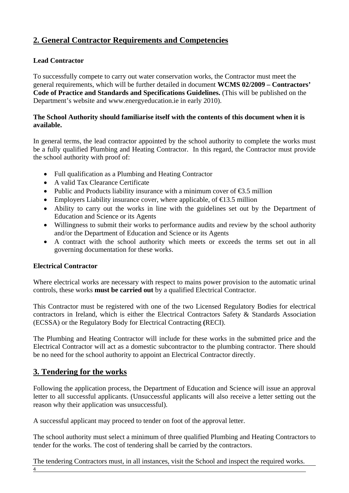# **2. General Contractor Requirements and Competencies**

#### **Lead Contractor**

To successfully compete to carry out water conservation works, the Contractor must meet the general requirements, which will be further detailed in document **WCMS 02/2009 – Contractors' Code of Practice and Standards and Specifications Guidelines.** (This will be published on the Department's website and www.energyeducation.ie in early 2010).

#### **The School Authority should familiarise itself with the contents of this document when it is available.**

In general terms, the lead contractor appointed by the school authority to complete the works must be a fully qualified Plumbing and Heating Contractor. In this regard, the Contractor must provide the school authority with proof of:

- Full qualification as a Plumbing and Heating Contractor
- A valid Tax Clearance Certificate
- Public and Products liability insurance with a minimum cover of  $\epsilon$ 3.5 million
- Employers Liability insurance cover, where applicable, of  $\epsilon$ 13.5 million
- Ability to carry out the works in line with the guidelines set out by the Department of Education and Science or its Agents
- Willingness to submit their works to performance audits and review by the school authority and/or the Department of Education and Science or its Agents
- A contract with the school authority which meets or exceeds the terms set out in all governing documentation for these works.

#### **Electrical Contractor**

Where electrical works are necessary with respect to mains power provision to the automatic urinal controls, these works **must be carried out** by a qualified Electrical Contractor.

This Contractor must be registered with one of the two Licensed Regulatory Bodies for electrical contractors in Ireland, which is either the Electrical Contractors Safety & Standards Association (ECSSA) or the Regulatory Body for Electrical Contracting **(**RECI).

The Plumbing and Heating Contractor will include for these works in the submitted price and the Electrical Contractor will act as a domestic subcontractor to the plumbing contractor. There should be no need for the school authority to appoint an Electrical Contractor directly.

## **3. Tendering for the works**

Following the application process, the Department of Education and Science will issue an approval letter to all successful applicants. (Unsuccessful applicants will also receive a letter setting out the reason why their application was unsuccessful).

A successful applicant may proceed to tender on foot of the approval letter.

The school authority must select a minimum of three qualified Plumbing and Heating Contractors to tender for the works. The cost of tendering shall be carried by the contractors.

The tendering Contractors must, in all instances, visit the School and inspect the required works.

4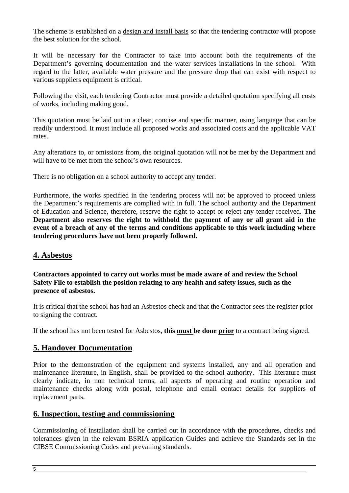The scheme is established on a design and install basis so that the tendering contractor will propose the best solution for the school.

It will be necessary for the Contractor to take into account both the requirements of the Department's governing documentation and the water services installations in the school. With regard to the latter, available water pressure and the pressure drop that can exist with respect to various suppliers equipment is critical.

Following the visit, each tendering Contractor must provide a detailed quotation specifying all costs of works, including making good.

This quotation must be laid out in a clear, concise and specific manner, using language that can be readily understood. It must include all proposed works and associated costs and the applicable VAT rates.

Any alterations to, or omissions from, the original quotation will not be met by the Department and will have to be met from the school's own resources.

There is no obligation on a school authority to accept any tender.

Furthermore, the works specified in the tendering process will not be approved to proceed unless the Department's requirements are complied with in full. The school authority and the Department of Education and Science, therefore, reserve the right to accept or reject any tender received. **The Department also reserves the right to withhold the payment of any or all grant aid in the event of a breach of any of the terms and conditions applicable to this work including where tendering procedures have not been properly followed.** 

#### **4. Asbestos**

**Contractors appointed to carry out works must be made aware of and review the School Safety File to establish the position relating to any health and safety issues, such as the presence of asbestos.** 

It is critical that the school has had an Asbestos check and that the Contractor sees the register prior to signing the contract.

If the school has not been tested for Asbestos, **this must be done prior** to a contract being signed.

#### **5. Handover Documentation**

Prior to the demonstration of the equipment and systems installed, any and all operation and maintenance literature, in English, shall be provided to the school authority. This literature must clearly indicate, in non technical terms, all aspects of operating and routine operation and maintenance checks along with postal, telephone and email contact details for suppliers of replacement parts.

#### **6. Inspection, testing and commissioning**

Commissioning of installation shall be carried out in accordance with the procedures, checks and tolerances given in the relevant BSRIA application Guides and achieve the Standards set in the CIBSE Commissioning Codes and prevailing standards.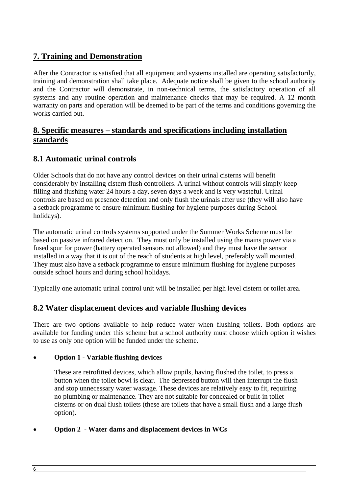# **7. Training and Demonstration**

After the Contractor is satisfied that all equipment and systems installed are operating satisfactorily, training and demonstration shall take place. Adequate notice shall be given to the school authority and the Contractor will demonstrate, in non-technical terms, the satisfactory operation of all systems and any routine operation and maintenance checks that may be required. A 12 month warranty on parts and operation will be deemed to be part of the terms and conditions governing the works carried out.

### **8. Specific measures – standards and specifications including installation standards**

## **8.1 Automatic urinal controls**

Older Schools that do not have any control devices on their urinal cisterns will benefit considerably by installing cistern flush controllers. A urinal without controls will simply keep filling and flushing water 24 hours a day, seven days a week and is very wasteful. Urinal controls are based on presence detection and only flush the urinals after use (they will also have a setback programme to ensure minimum flushing for hygiene purposes during School holidays).

The automatic urinal controls systems supported under the Summer Works Scheme must be based on passive infrared detection. They must only be installed using the mains power via a fused spur for power (battery operated sensors not allowed) and they must have the sensor installed in a way that it is out of the reach of students at high level, preferably wall mounted. They must also have a setback programme to ensure minimum flushing for hygiene purposes outside school hours and during school holidays.

Typically one automatic urinal control unit will be installed per high level cistern or toilet area.

### **8.2 Water displacement devices and variable flushing devices**

There are two options available to help reduce water when flushing toilets. Both options are available for funding under this scheme but a school authority must choose which option it wishes to use as only one option will be funded under the scheme.

#### • **Option 1 - Variable flushing devices**

These are retrofitted devices, which allow pupils, having flushed the toilet, to press a button when the toilet bowl is clear. The depressed button will then interrupt the flush and stop unnecessary water wastage. These devices are relatively easy to fit, requiring no plumbing or maintenance. They are not suitable for concealed or built-in toilet cisterns or on dual flush toilets (these are toilets that have a small flush and a large flush option).

#### • **Option 2 - Water dams and displacement devices in WCs**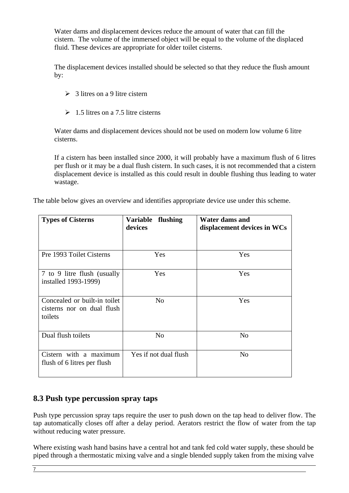Water dams and displacement devices reduce the amount of water that can fill the cistern. The volume of the immersed object will be equal to the volume of the displaced fluid. These devices are appropriate for older toilet cisterns.

The displacement devices installed should be selected so that they reduce the flush amount by:

- $\geq$  3 litres on a 9 litre cistern
- $\geq 1.5$  litres on a 7.5 litre cisterns

Water dams and displacement devices should not be used on modern low volume 6 litre cisterns.

If a cistern has been installed since 2000, it will probably have a maximum flush of 6 litres per flush or it may be a dual flush cistern. In such cases, it is not recommended that a cistern displacement device is installed as this could result in double flushing thus leading to water wastage.

The table below gives an overview and identifies appropriate device use under this scheme.

| <b>Types of Cisterns</b>                                              | <b>Variable</b><br>flushing<br>devices | Water dams and<br>displacement devices in WCs |
|-----------------------------------------------------------------------|----------------------------------------|-----------------------------------------------|
|                                                                       |                                        |                                               |
| Pre 1993 Toilet Cisterns                                              | Yes                                    | Yes                                           |
| 7 to 9 litre flush (usually<br>installed 1993-1999)                   | Yes                                    | Yes                                           |
| Concealed or built-in toilet<br>cisterns nor on dual flush<br>toilets | N <sub>o</sub>                         | Yes                                           |
| Dual flush toilets                                                    | N <sub>0</sub>                         | N <sub>o</sub>                                |
| Cistern with a maximum<br>flush of 6 litres per flush                 | Yes if not dual flush                  | N <sub>0</sub>                                |

### **8.3 Push type percussion spray taps**

Push type percussion spray taps require the user to push down on the tap head to deliver flow. The tap automatically closes off after a delay period. Aerators restrict the flow of water from the tap without reducing water pressure.

Where existing wash hand basins have a central hot and tank fed cold water supply, these should be piped through a thermostatic mixing valve and a single blended supply taken from the mixing valve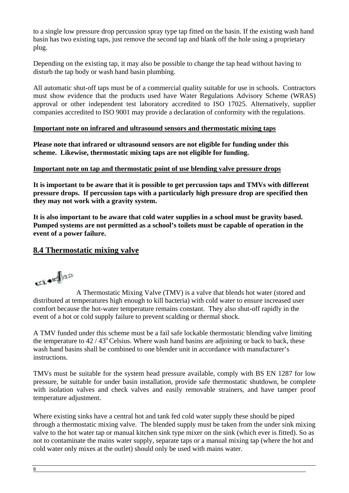to a single low pressure drop percussion spray type tap fitted on the basin. If the existing wash hand basin has two existing taps, just remove the second tap and blank off the hole using a proprietary plug.

Depending on the existing tap, it may also be possible to change the tap head without having to disturb the tap body or wash hand basin plumbing.

All automatic shut-off taps must be of a commercial quality suitable for use in schools. Contractors must show evidence that the products used have Water Regulations Advisory Scheme (WRAS) approval or other independent test laboratory accredited to ISO 17025. Alternatively, supplier companies accredited to ISO 9001 may provide a declaration of conformity with the regulations.

#### **Important note on infrared and ultrasound sensors and thermostatic mixing taps**

**Please note that infrared or ultrasound sensors are not eligible for funding under this scheme. Likewise, thermostatic mixing taps are not eligible for funding.** 

#### **Important note on tap and thermostatic point of use blending valve pressure drops**

**It is important to be aware that it is possible to get percussion taps and TMVs with different pressure drops. If percussion taps with a particularly high pressure drop are specified then they may not work with a gravity system.** 

**It is also important to be aware that cold water supplies in a school must be gravity based. Pumped systems are not permitted as a school's toilets must be capable of operation in the event of a power failure.** 

#### **8.4 Thermostatic mixing valve**

**SELAND** 

 A Thermostatic Mixing Valve (TMV) is a [valve](http://en.wikipedia.org/wiki/Valve) that blends hot water (stored and distributed at temperatures high enough to kill bacteria) with cold water to ensure increased user comfort because the hot-water temperature remains constant. They also shut-off rapidly in the event of a hot or cold supply failure to prevent scalding or thermal shock.

A TMV funded under this scheme must be a fail safe lockable thermostatic blending valve limiting the temperature to  $42 / 43^{\circ}$  Celsius. Where wash hand basins are adjoining or back to back, these wash hand basins shall be combined to one blender unit in accordance with manufacturer's instructions.

TMVs must be suitable for the system head pressure available, comply with BS EN 1287 for low pressure, be suitable for under basin installation, provide safe thermostatic shutdown, be complete with isolation valves and check valves and easily removable strainers, and have tamper proof temperature adjustment.

Where existing sinks have a central hot and tank fed cold water supply these should be piped through a thermostatic mixing valve. The blended supply must be taken from the under sink mixing valve to the hot water tap or manual kitchen sink type mixer on the sink (which ever is fitted). So as not to contaminate the mains water supply, separate taps or a manual mixing tap (where the hot and cold water only mixes at the outlet) should only be used with mains water.